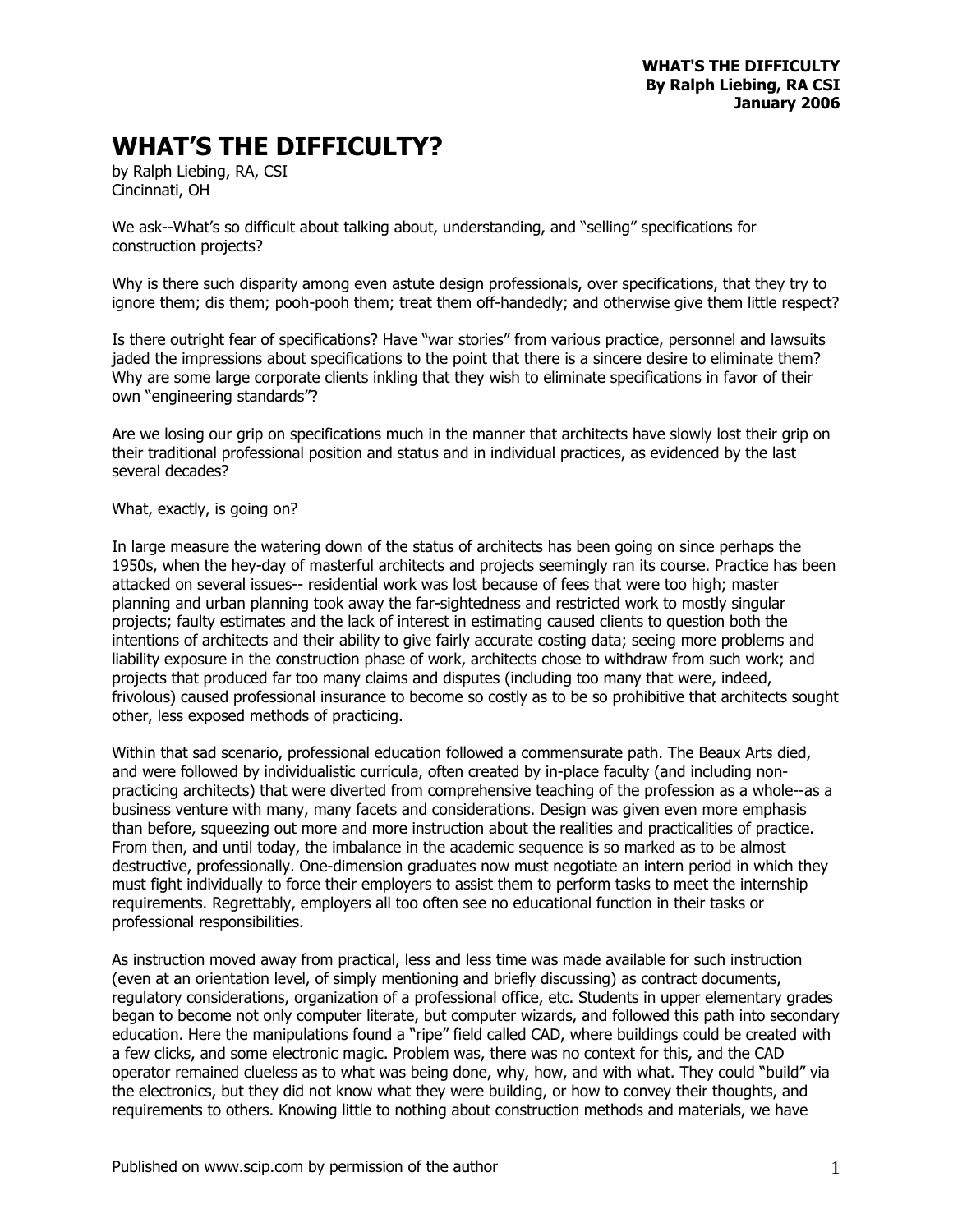## **WHAT'S THE DIFFICULTY?**

by Ralph Liebing, RA, CSI Cincinnati, OH

We ask--What's so difficult about talking about, understanding, and "selling" specifications for construction projects?

Why is there such disparity among even astute design professionals, over specifications, that they try to ignore them; dis them; pooh-pooh them; treat them off-handedly; and otherwise give them little respect?

Is there outright fear of specifications? Have "war stories" from various practice, personnel and lawsuits jaded the impressions about specifications to the point that there is a sincere desire to eliminate them? Why are some large corporate clients inkling that they wish to eliminate specifications in favor of their own "engineering standards"?

Are we losing our grip on specifications much in the manner that architects have slowly lost their grip on their traditional professional position and status and in individual practices, as evidenced by the last several decades?

## What, exactly, is going on?

In large measure the watering down of the status of architects has been going on since perhaps the 1950s, when the hey-day of masterful architects and projects seemingly ran its course. Practice has been attacked on several issues-- residential work was lost because of fees that were too high; master planning and urban planning took away the far-sightedness and restricted work to mostly singular projects; faulty estimates and the lack of interest in estimating caused clients to question both the intentions of architects and their ability to give fairly accurate costing data; seeing more problems and liability exposure in the construction phase of work, architects chose to withdraw from such work; and projects that produced far too many claims and disputes (including too many that were, indeed, frivolous) caused professional insurance to become so costly as to be so prohibitive that architects sought other, less exposed methods of practicing.

Within that sad scenario, professional education followed a commensurate path. The Beaux Arts died, and were followed by individualistic curricula, often created by in-place faculty (and including nonpracticing architects) that were diverted from comprehensive teaching of the profession as a whole--as a business venture with many, many facets and considerations. Design was given even more emphasis than before, squeezing out more and more instruction about the realities and practicalities of practice. From then, and until today, the imbalance in the academic sequence is so marked as to be almost destructive, professionally. One-dimension graduates now must negotiate an intern period in which they must fight individually to force their employers to assist them to perform tasks to meet the internship requirements. Regrettably, employers all too often see no educational function in their tasks or professional responsibilities.

As instruction moved away from practical, less and less time was made available for such instruction (even at an orientation level, of simply mentioning and briefly discussing) as contract documents, regulatory considerations, organization of a professional office, etc. Students in upper elementary grades began to become not only computer literate, but computer wizards, and followed this path into secondary education. Here the manipulations found a "ripe" field called CAD, where buildings could be created with a few clicks, and some electronic magic. Problem was, there was no context for this, and the CAD operator remained clueless as to what was being done, why, how, and with what. They could "build" via the electronics, but they did not know what they were building, or how to convey their thoughts, and requirements to others. Knowing little to nothing about construction methods and materials, we have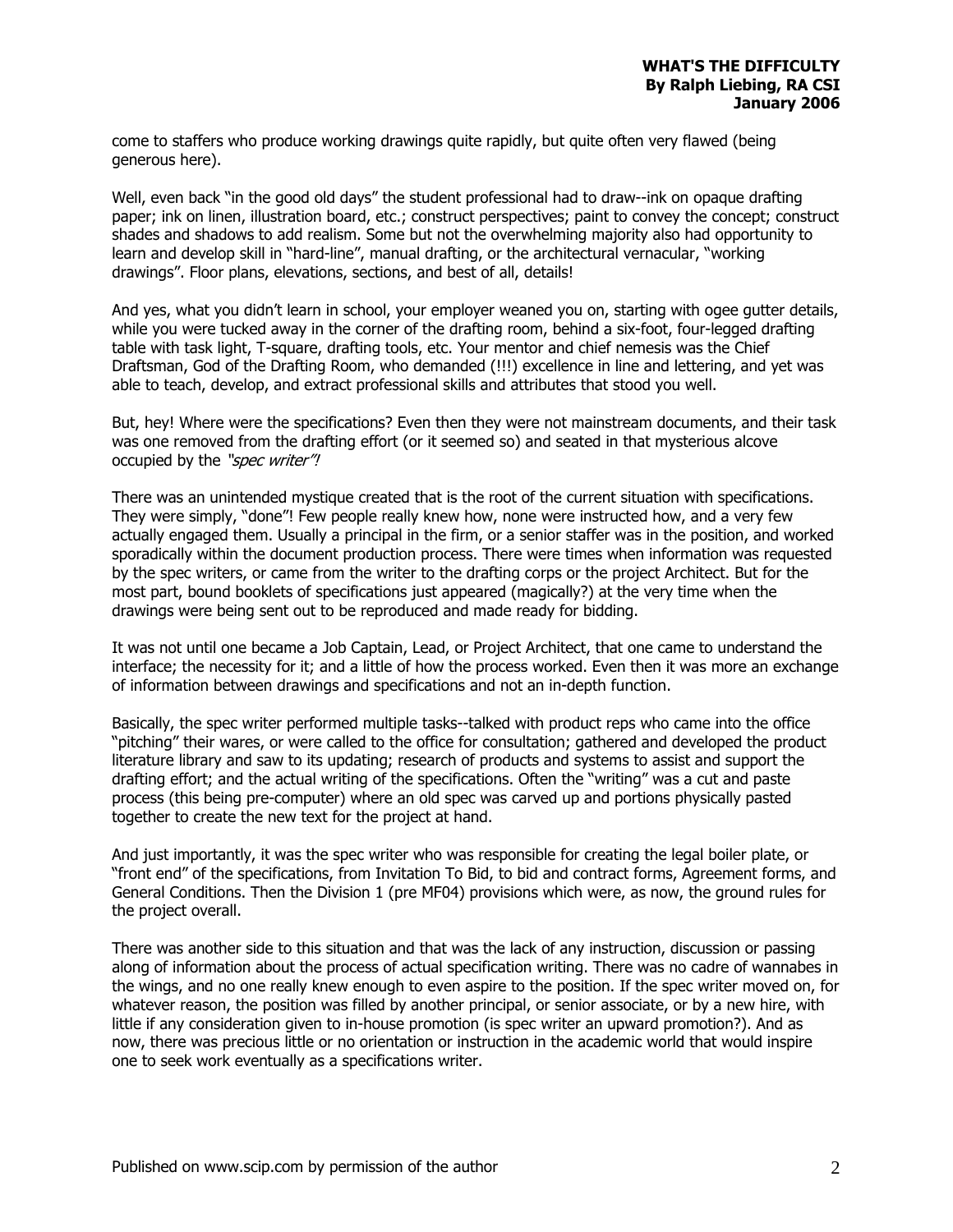come to staffers who produce working drawings quite rapidly, but quite often very flawed (being generous here).

Well, even back "in the good old days" the student professional had to draw--ink on opaque drafting paper; ink on linen, illustration board, etc.; construct perspectives; paint to convey the concept; construct shades and shadows to add realism. Some but not the overwhelming majority also had opportunity to learn and develop skill in "hard-line", manual drafting, or the architectural vernacular, "working drawings". Floor plans, elevations, sections, and best of all, details!

And yes, what you didn't learn in school, your employer weaned you on, starting with ogee gutter details, while you were tucked away in the corner of the drafting room, behind a six-foot, four-legged drafting table with task light, T-square, drafting tools, etc. Your mentor and chief nemesis was the Chief Draftsman, God of the Drafting Room, who demanded (!!!) excellence in line and lettering, and yet was able to teach, develop, and extract professional skills and attributes that stood you well.

But, hey! Where were the specifications? Even then they were not mainstream documents, and their task was one removed from the drafting effort (or it seemed so) and seated in that mysterious alcove occupied by the "spec writer"!

There was an unintended mystique created that is the root of the current situation with specifications. They were simply, "done"! Few people really knew how, none were instructed how, and a very few actually engaged them. Usually a principal in the firm, or a senior staffer was in the position, and worked sporadically within the document production process. There were times when information was requested by the spec writers, or came from the writer to the drafting corps or the project Architect. But for the most part, bound booklets of specifications just appeared (magically?) at the very time when the drawings were being sent out to be reproduced and made ready for bidding.

It was not until one became a Job Captain, Lead, or Project Architect, that one came to understand the interface; the necessity for it; and a little of how the process worked. Even then it was more an exchange of information between drawings and specifications and not an in-depth function.

Basically, the spec writer performed multiple tasks--talked with product reps who came into the office "pitching" their wares, or were called to the office for consultation; gathered and developed the product literature library and saw to its updating; research of products and systems to assist and support the drafting effort; and the actual writing of the specifications. Often the "writing" was a cut and paste process (this being pre-computer) where an old spec was carved up and portions physically pasted together to create the new text for the project at hand.

And just importantly, it was the spec writer who was responsible for creating the legal boiler plate, or "front end" of the specifications, from Invitation To Bid, to bid and contract forms, Agreement forms, and General Conditions. Then the Division 1 (pre MF04) provisions which were, as now, the ground rules for the project overall.

There was another side to this situation and that was the lack of any instruction, discussion or passing along of information about the process of actual specification writing. There was no cadre of wannabes in the wings, and no one really knew enough to even aspire to the position. If the spec writer moved on, for whatever reason, the position was filled by another principal, or senior associate, or by a new hire, with little if any consideration given to in-house promotion (is spec writer an upward promotion?). And as now, there was precious little or no orientation or instruction in the academic world that would inspire one to seek work eventually as a specifications writer.